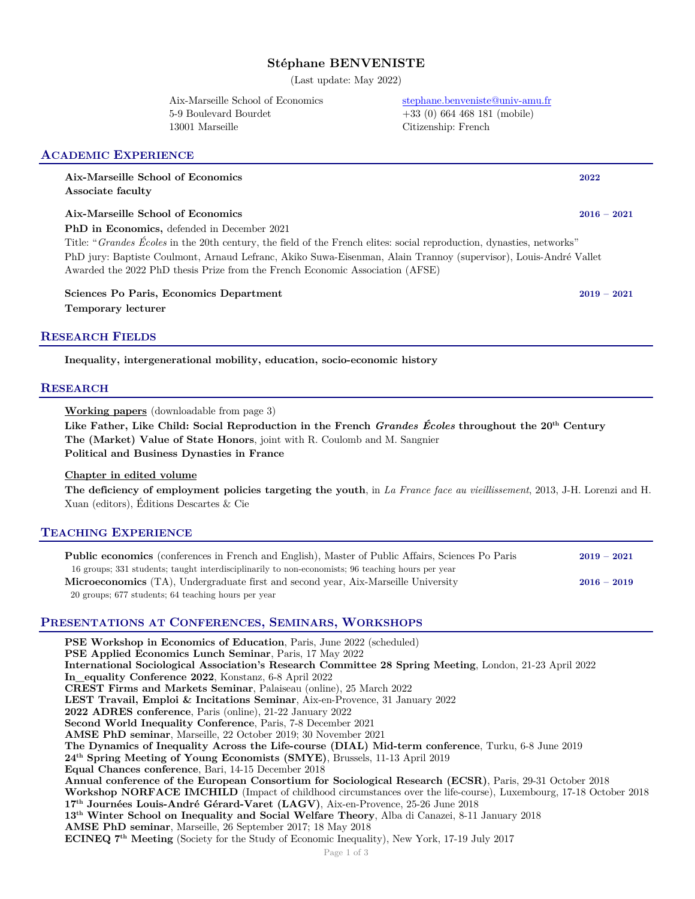# **Stéphane BENVENISTE**

(Last update: May 2022)

5-9 Boulevard Bourdet +33 (0) 664 468 181 (mobile) 13001 Marseille Citizenship: French

### **ACADEMIC EXPERIENCE**

**Aix-Marseille School of Economics 2022 Associate faculty**

# **Aix-Marseille School of Economics 2016 – 2021**

**PhD in Economics,** defended in December 2021

Title: "*Grandes Écoles* in the 20th century, the field of the French elites: social reproduction, dynasties, networks" PhD jury: Baptiste Coulmont, Arnaud Lefranc, Akiko Suwa-Eisenman, Alain Trannoy (supervisor), Louis-André Vallet Awarded the 2022 PhD thesis Prize from the French Economic Association (AFSE)

**Sciences Po Paris, Economics Department 2019 – 2021 Temporary lecturer**

### **RESEARCH FIELDS**

**Inequality, intergenerational mobility, education, socio-economic history**

### **RESEARCH**

**Working papers** (downloadable from page 3)

**Like Father, Like Child: Social Reproduction in the French** *Grandes Écoles* **throughout the 20th Century The (Market) Value of State Honors**, joint with R. Coulomb and M. Sangnier **Political and Business Dynasties in France**

### **Chapter in edited volume**

**The deficiency of employment policies targeting the youth**, in *La France face au vieillissement*, 2013, J-H. Lorenzi and H. Xuan (editors), Éditions Descartes & Cie

## **TEACHING EXPERIENCE**

| <b>Public economics</b> (conferences in French and English), Master of Public Affairs, Sciences Po Paris | $2019 - 2021$ |
|----------------------------------------------------------------------------------------------------------|---------------|
| 16 groups; 331 students; taught interdisciplinarily to non-economists; 96 teaching hours per year        |               |
| Microeconomics (TA), Undergraduate first and second year, Aix-Marseille University                       | $2016 - 2019$ |
| 20 groups; 677 students; 64 teaching hours per year                                                      |               |

### **PRESENTATIONS AT CONFERENCES, SEMINARS, WORKSHOPS**

Page 1 of 3 **PSE Workshop in Economics of Education**, Paris, June 2022 (scheduled) **PSE Applied Economics Lunch Seminar**, Paris, 17 May 2022 **International Sociological Association's Research Committee 28 Spring Meeting**, London, 21-23 April 2022 **In\_equality Conference 2022**, Konstanz, 6-8 April 2022 **CREST Firms and Markets Seminar**, Palaiseau (online), 25 March 2022 **LEST Travail, Emploi & Incitations Seminar**, Aix-en-Provence, 31 January 2022 **2022 ADRES conference**, Paris (online), 21-22 January 2022 **Second World Inequality Conference**, Paris, 7-8 December 2021 **AMSE PhD seminar**, Marseille, 22 October 2019; 30 November 2021 **The Dynamics of Inequality Across the Life-course (DIAL) Mid-term conference**, Turku, 6-8 June 2019 **24th Spring Meeting of Young Economists (SMYE)**, Brussels, 11-13 April 2019 **Equal Chances conference**, Bari, 14-15 December 2018 **Annual conference of the European Consortium for Sociological Research (ECSR)**, Paris, 29-31 October 2018 **Workshop NORFACE IMCHILD** (Impact of childhood circumstances over the life-course), Luxembourg, 17-18 October 2018 **17th Journées Louis-André Gérard-Varet (LAGV)**, Aix-en-Provence, 25-26 June 2018 **13th Winter School on Inequality and Social Welfare Theory**, Alba di Canazei, 8-11 January 2018 **AMSE PhD seminar**, Marseille, 26 September 2017; 18 May 2018 **ECINEQ 7th Meeting** (Society for the Study of Economic Inequality), New York, 17-19 July 2017

Aix-Marseille School of Economics stephane.benveniste@univ-amu.fr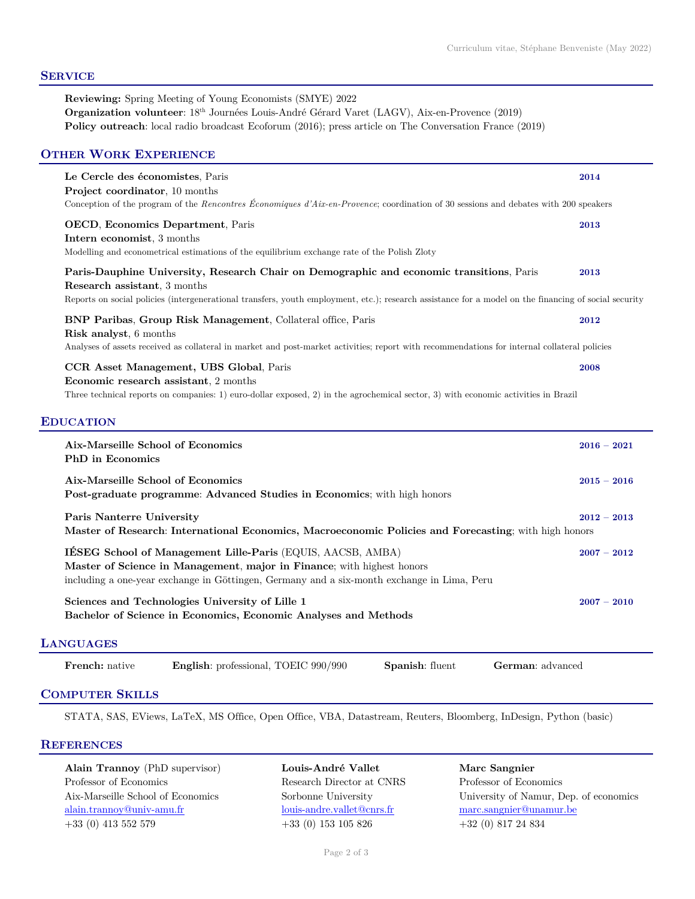# **SERVICE**

**Reviewing:** Spring Meeting of Young Economists (SMYE) 2022 **Organization volunteer**: 18th Journées Louis-André Gérard Varet (LAGV), Aix-en-Provence (2019) **Policy outreach**: local radio broadcast Ecoforum (2016); press article on The Conversation France (2019)

# **OTHER WORK EXPERIENCE**

|                  | Le Cercle des économistes, Paris<br>Project coordinator, 10 months<br>Conception of the program of the Rencontres Economiques d'Aix-en-Provence; coordination of 30 sessions and debates with 200 speakers                                                                        | 2014          |  |
|------------------|-----------------------------------------------------------------------------------------------------------------------------------------------------------------------------------------------------------------------------------------------------------------------------------|---------------|--|
|                  | OECD, Economics Department, Paris<br>Intern economist, 3 months<br>Modelling and econometrical estimations of the equilibrium exchange rate of the Polish Zloty                                                                                                                   | 2013          |  |
|                  | Paris-Dauphine University, Research Chair on Demographic and economic transitions, Paris<br>Research assistant, 3 months<br>Reports on social policies (intergenerational transfers, youth employment, etc.); research assistance for a model on the financing of social security | 2013          |  |
|                  | BNP Paribas, Group Risk Management, Collateral office, Paris<br>Risk analyst, 6 months<br>Analyses of assets received as collateral in market and post-market activities; report with recommendations for internal collateral policies                                            | 2012          |  |
|                  | CCR Asset Management, UBS Global, Paris<br>Economic research assistant, 2 months<br>Three technical reports on companies: 1) euro-dollar exposed, 2) in the agrochemical sector, 3) with economic activities in Brazil                                                            | 2008          |  |
| <b>EDUCATION</b> |                                                                                                                                                                                                                                                                                   |               |  |
|                  | Aix-Marseille School of Economics<br><b>PhD</b> in Economics                                                                                                                                                                                                                      | $2016 - 2021$ |  |
|                  | Aix-Marseille School of Economics<br>Post-graduate programme: Advanced Studies in Economics; with high honors                                                                                                                                                                     | $2015 - 2016$ |  |
|                  | Paris Nanterre University<br>$2012 - 2013$<br>Master of Research: International Economics, Macroeconomic Policies and Forecasting; with high honors                                                                                                                               |               |  |
|                  | IÉSEG School of Management Lille-Paris (EQUIS, AACSB, AMBA)<br>Master of Science in Management, major in Finance; with highest honors<br>including a one-year exchange in Göttingen, Germany and a six-month exchange in Lima, Peru                                               | $2007 - 2012$ |  |
|                  | Sciences and Technologies University of Lille 1<br>Bachelor of Science in Economics, Economic Analyses and Methods                                                                                                                                                                | $2007 - 2010$ |  |
| <b>LANGUAGES</b> |                                                                                                                                                                                                                                                                                   |               |  |
|                  | English: professional, TOEIC 990/990<br>Spanish: fluent<br>German: advanced<br><b>French:</b> native                                                                                                                                                                              |               |  |

# **COMPUTER SKILLS**

STATA, SAS, EViews, LaTeX, MS Office, Open Office, VBA, Datastream, Reuters, Bloomberg, InDesign, Python (basic)

## **REFERENCES**

**Alain Trannoy** (PhD supervisor) **Louis-André Vallet Marc Sangnier** Professor of Economics Research Director at CNRS Professor of Economics alain.trannoy@univ-amu.fr louis-andre.vallet@cnrs.fr marc.sangnier@unamur.be +33 (0) 413 552 579 +33 (0) 153 105 826 +32 (0) 817 24 834

Aix-Marseille School of Economics Sorbonne University University of Namur, Dep. of economics